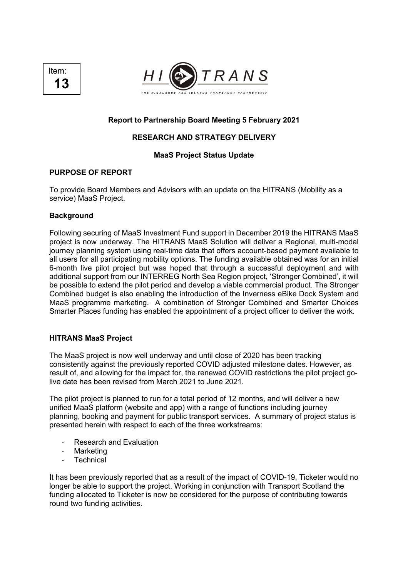



# **Report to Partnership Board Meeting 5 February 2021**

# **RESEARCH AND STRATEGY DELIVERY**

# **MaaS Project Status Update**

# **PURPOSE OF REPORT**

To provide Board Members and Advisors with an update on the HITRANS (Mobility as a service) MaaS Project.

# **Background**

Following securing of MaaS Investment Fund support in December 2019 the HITRANS MaaS project is now underway. The HITRANS MaaS Solution will deliver a Regional, multi-modal journey planning system using real-time data that offers account-based payment available to all users for all participating mobility options. The funding available obtained was for an initial 6-month live pilot project but was hoped that through a successful deployment and with additional support from our INTERREG North Sea Region project, 'Stronger Combined', it will be possible to extend the pilot period and develop a viable commercial product. The Stronger Combined budget is also enabling the introduction of the Inverness eBike Dock System and MaaS programme marketing. A combination of Stronger Combined and Smarter Choices Smarter Places funding has enabled the appointment of a project officer to deliver the work.

# **HITRANS MaaS Project**

The MaaS project is now well underway and until close of 2020 has been tracking consistently against the previously reported COVID adjusted milestone dates. However, as result of, and allowing for the impact for, the renewed COVID restrictions the pilot project golive date has been revised from March 2021 to June 2021.

The pilot project is planned to run for a total period of 12 months, and will deliver a new unified MaaS platform (website and app) with a range of functions including journey planning, booking and payment for public transport services. A summary of project status is presented herein with respect to each of the three workstreams:

- Research and Evaluation
- **Marketing**
- **Technical**

It has been previously reported that as a result of the impact of COVID-19, Ticketer would no longer be able to support the project. Working in conjunction with Transport Scotland the funding allocated to Ticketer is now be considered for the purpose of contributing towards round two funding activities.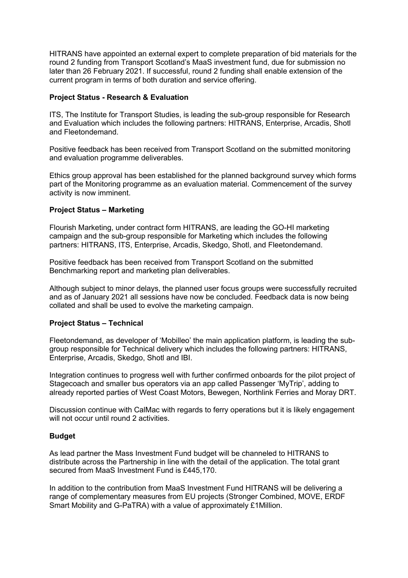HITRANS have appointed an external expert to complete preparation of bid materials for the round 2 funding from Transport Scotland's MaaS investment fund, due for submission no later than 26 February 2021. If successful, round 2 funding shall enable extension of the current program in terms of both duration and service offering.

#### **Project Status - Research & Evaluation**

ITS, The Institute for Transport Studies, is leading the sub-group responsible for Research and Evaluation which includes the following partners: HITRANS, Enterprise, Arcadis, Shotl and Fleetondemand.

Positive feedback has been received from Transport Scotland on the submitted monitoring and evaluation programme deliverables.

Ethics group approval has been established for the planned background survey which forms part of the Monitoring programme as an evaluation material. Commencement of the survey activity is now imminent.

# **Project Status – Marketing**

Flourish Marketing, under contract form HITRANS, are leading the GO-HI marketing campaign and the sub-group responsible for Marketing which includes the following partners: HITRANS, ITS, Enterprise, Arcadis, Skedgo, Shotl, and Fleetondemand.

Positive feedback has been received from Transport Scotland on the submitted Benchmarking report and marketing plan deliverables.

Although subject to minor delays, the planned user focus groups were successfully recruited and as of January 2021 all sessions have now be concluded. Feedback data is now being collated and shall be used to evolve the marketing campaign.

#### **Project Status – Technical**

Fleetondemand, as developer of 'Mobilleo' the main application platform, is leading the subgroup responsible for Technical delivery which includes the following partners: HITRANS, Enterprise, Arcadis, Skedgo, Shotl and IBI.

Integration continues to progress well with further confirmed onboards for the pilot project of Stagecoach and smaller bus operators via an app called Passenger 'MyTrip', adding to already reported parties of West Coast Motors, Bewegen, Northlink Ferries and Moray DRT.

Discussion continue with CalMac with regards to ferry operations but it is likely engagement will not occur until round 2 activities.

# **Budget**

As lead partner the Mass Investment Fund budget will be channeled to HITRANS to distribute across the Partnership in line with the detail of the application. The total grant secured from MaaS Investment Fund is £445,170.

In addition to the contribution from MaaS Investment Fund HITRANS will be delivering a range of complementary measures from EU projects (Stronger Combined, MOVE, ERDF Smart Mobility and G-PaTRA) with a value of approximately £1Million.